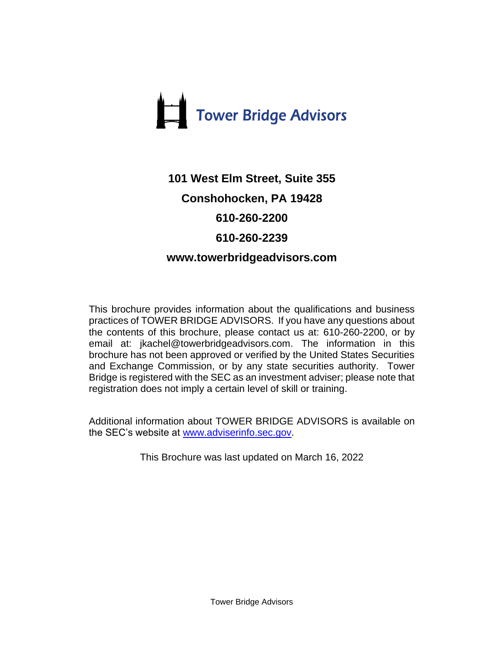

# **101 West Elm Street, Suite 355 Conshohocken, PA 19428 610-260-2200 610-260-2239 www.towerbridgeadvisors.com**

This brochure provides information about the qualifications and business practices of TOWER BRIDGE ADVISORS. If you have any questions about the contents of this brochure, please contact us at: 610-260-2200, or by email at: jkachel@towerbridgeadvisors.com. The information in this brochure has not been approved or verified by the United States Securities and Exchange Commission, or by any state securities authority. Tower Bridge is registered with the SEC as an investment adviser; please note that registration does not imply a certain level of skill or training.

Additional information about TOWER BRIDGE ADVISORS is available on the SEC's website at [www.adviserinfo.sec.gov.](http://www.adviserinfo.sec.gov/)

This Brochure was last updated on March 16, 2022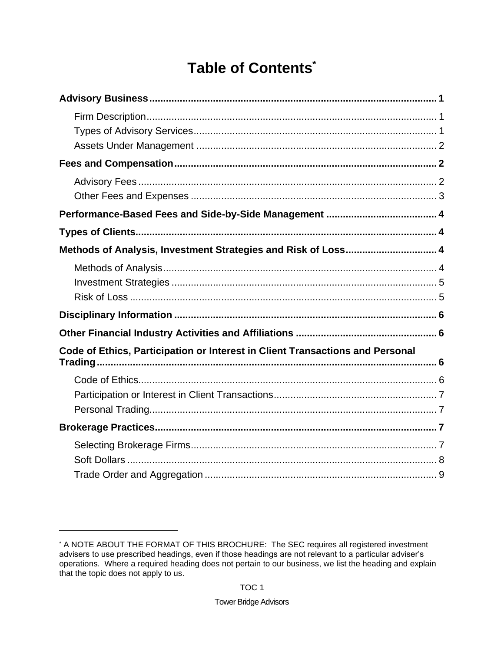# Table of Contents\*

| Methods of Analysis, Investment Strategies and Risk of Loss 4                 |  |
|-------------------------------------------------------------------------------|--|
|                                                                               |  |
|                                                                               |  |
|                                                                               |  |
|                                                                               |  |
|                                                                               |  |
| Code of Ethics, Participation or Interest in Client Transactions and Personal |  |
|                                                                               |  |
|                                                                               |  |
|                                                                               |  |
|                                                                               |  |
|                                                                               |  |
|                                                                               |  |
|                                                                               |  |

<sup>\*</sup> A NOTE ABOUT THE FORMAT OF THIS BROCHURE: The SEC requires all registered investment advisers to use prescribed headings, even if those headings are not relevant to a particular adviser's operations. Where a required heading does not pertain to our business, we list the heading and explain that the topic does not apply to us.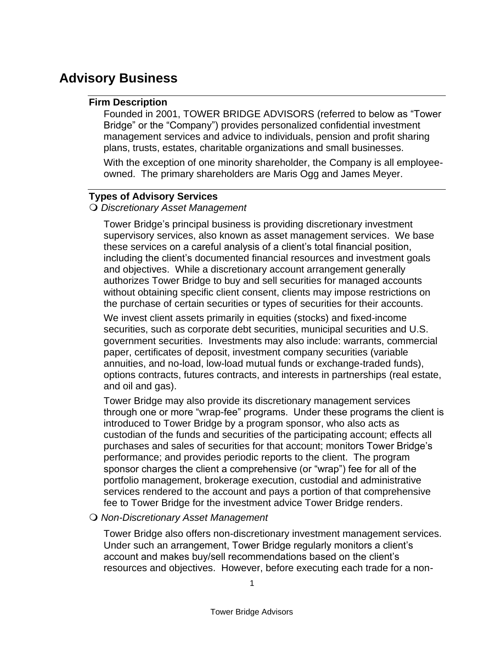# <span id="page-3-1"></span><span id="page-3-0"></span>**Advisory Business**

### **Firm Description**

Founded in 2001, TOWER BRIDGE ADVISORS (referred to below as "Tower Bridge" or the "Company") provides personalized confidential investment management services and advice to individuals, pension and profit sharing plans, trusts, estates, charitable organizations and small businesses.

With the exception of one minority shareholder, the Company is all employeeowned. The primary shareholders are Maris Ogg and James Meyer.

### <span id="page-3-2"></span>**Types of Advisory Services**

### *Discretionary Asset Management*

Tower Bridge's principal business is providing discretionary investment supervisory services, also known as asset management services. We base these services on a careful analysis of a client's total financial position, including the client's documented financial resources and investment goals and objectives. While a discretionary account arrangement generally authorizes Tower Bridge to buy and sell securities for managed accounts without obtaining specific client consent, clients may impose restrictions on the purchase of certain securities or types of securities for their accounts.

We invest client assets primarily in equities (stocks) and fixed-income securities, such as corporate debt securities, municipal securities and U.S. government securities. Investments may also include: warrants, commercial paper, certificates of deposit, investment company securities (variable annuities, and no-load, low-load mutual funds or exchange-traded funds), options contracts, futures contracts, and interests in partnerships (real estate, and oil and gas).

Tower Bridge may also provide its discretionary management services through one or more "wrap-fee" programs. Under these programs the client is introduced to Tower Bridge by a program sponsor, who also acts as custodian of the funds and securities of the participating account; effects all purchases and sales of securities for that account; monitors Tower Bridge's performance; and provides periodic reports to the client. The program sponsor charges the client a comprehensive (or "wrap") fee for all of the portfolio management, brokerage execution, custodial and administrative services rendered to the account and pays a portion of that comprehensive fee to Tower Bridge for the investment advice Tower Bridge renders.

### *Non-Discretionary Asset Management*

Tower Bridge also offers non-discretionary investment management services. Under such an arrangement, Tower Bridge regularly monitors a client's account and makes buy/sell recommendations based on the client's resources and objectives. However, before executing each trade for a non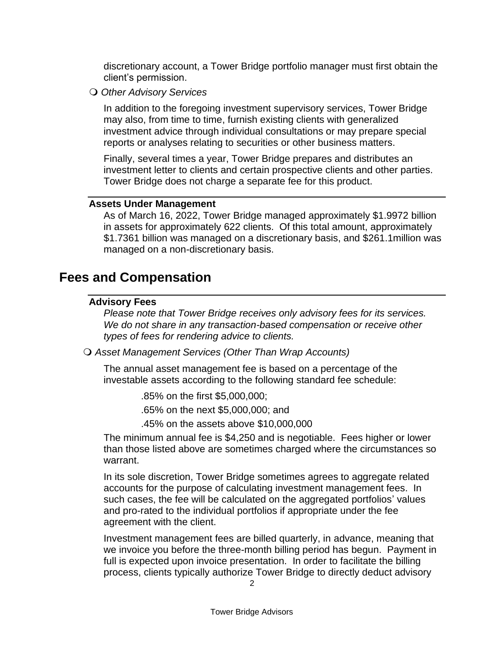discretionary account, a Tower Bridge portfolio manager must first obtain the client's permission.

*Other Advisory Services*

In addition to the foregoing investment supervisory services, Tower Bridge may also, from time to time, furnish existing clients with generalized investment advice through individual consultations or may prepare special reports or analyses relating to securities or other business matters.

Finally, several times a year, Tower Bridge prepares and distributes an investment letter to clients and certain prospective clients and other parties. Tower Bridge does not charge a separate fee for this product.

#### <span id="page-4-0"></span>**Assets Under Management**

As of March 16, 2022, Tower Bridge managed approximately \$1.9972 billion in assets for approximately 622 clients. Of this total amount, approximately \$1.7361 billion was managed on a discretionary basis, and \$261.1million was managed on a non-discretionary basis.

### <span id="page-4-2"></span><span id="page-4-1"></span>**Fees and Compensation**

### **Advisory Fees**

*Please note that Tower Bridge receives only advisory fees for its services. We do not share in any transaction-based compensation or receive other types of fees for rendering advice to clients.*

*Asset Management Services (Other Than Wrap Accounts)*

The annual asset management fee is based on a percentage of the investable assets according to the following standard fee schedule:

.85% on the first \$5,000,000;

.65% on the next \$5,000,000; and

.45% on the assets above \$10,000,000

The minimum annual fee is \$4,250 and is negotiable. Fees higher or lower than those listed above are sometimes charged where the circumstances so warrant.

In its sole discretion, Tower Bridge sometimes agrees to aggregate related accounts for the purpose of calculating investment management fees. In such cases, the fee will be calculated on the aggregated portfolios' values and pro-rated to the individual portfolios if appropriate under the fee agreement with the client.

Investment management fees are billed quarterly, in advance, meaning that we invoice you before the three-month billing period has begun. Payment in full is expected upon invoice presentation. In order to facilitate the billing process, clients typically authorize Tower Bridge to directly deduct advisory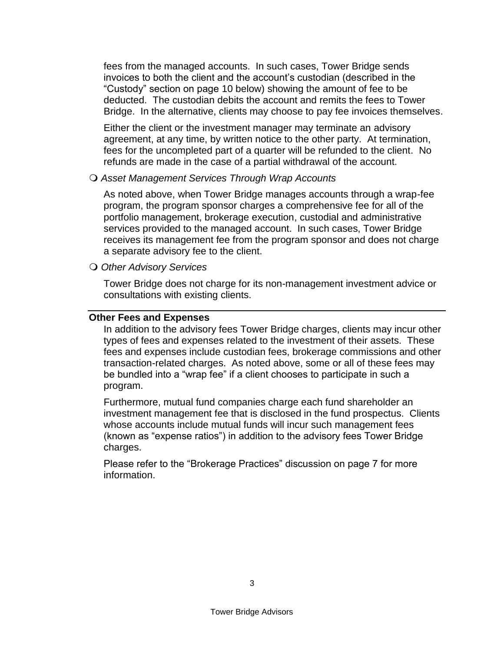fees from the managed accounts. In such cases, Tower Bridge sends invoices to both the client and the account's custodian (described in the "Custody" section on page 10 below) showing the amount of fee to be deducted. The custodian debits the account and remits the fees to Tower Bridge. In the alternative, clients may choose to pay fee invoices themselves.

Either the client or the investment manager may terminate an advisory agreement, at any time, by written notice to the other party. At termination, fees for the uncompleted part of a quarter will be refunded to the client. No refunds are made in the case of a partial withdrawal of the account.

#### *Asset Management Services Through Wrap Accounts*

As noted above, when Tower Bridge manages accounts through a wrap-fee program, the program sponsor charges a comprehensive fee for all of the portfolio management, brokerage execution, custodial and administrative services provided to the managed account. In such cases, Tower Bridge receives its management fee from the program sponsor and does not charge a separate advisory fee to the client.

*Other Advisory Services*

Tower Bridge does not charge for its non-management investment advice or consultations with existing clients.

### <span id="page-5-0"></span>**Other Fees and Expenses**

In addition to the advisory fees Tower Bridge charges, clients may incur other types of fees and expenses related to the investment of their assets. These fees and expenses include custodian fees, brokerage commissions and other transaction-related charges. As noted above, some or all of these fees may be bundled into a "wrap fee" if a client chooses to participate in such a program.

Furthermore, mutual fund companies charge each fund shareholder an investment management fee that is disclosed in the fund prospectus. Clients whose accounts include mutual funds will incur such management fees (known as "expense ratios") in addition to the advisory fees Tower Bridge charges.

Please refer to the "Brokerage Practices" discussion on page 7 for more information.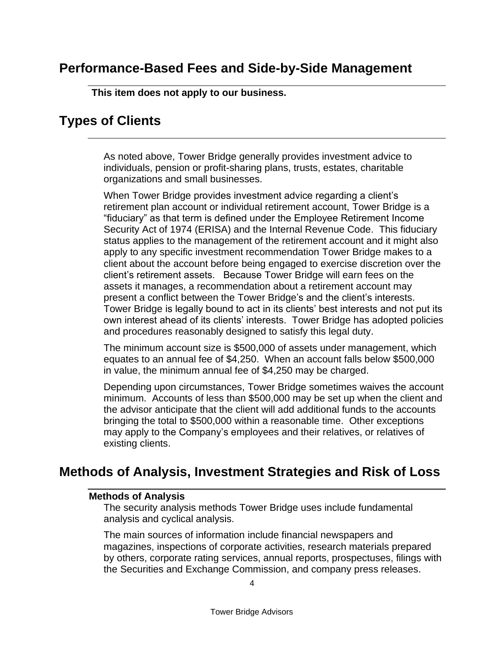# <span id="page-6-0"></span>**Performance-Based Fees and Side-by-Side Management**

**This item does not apply to our business.**

### <span id="page-6-1"></span>**Types of Clients**

As noted above, Tower Bridge generally provides investment advice to individuals, pension or profit-sharing plans, trusts, estates, charitable organizations and small businesses.

When Tower Bridge provides investment advice regarding a client's retirement plan account or individual retirement account, Tower Bridge is a "fiduciary" as that term is defined under the Employee Retirement Income Security Act of 1974 (ERISA) and the Internal Revenue Code. This fiduciary status applies to the management of the retirement account and it might also apply to any specific investment recommendation Tower Bridge makes to a client about the account before being engaged to exercise discretion over the client's retirement assets. Because Tower Bridge will earn fees on the assets it manages, a recommendation about a retirement account may present a conflict between the Tower Bridge's and the client's interests. Tower Bridge is legally bound to act in its clients' best interests and not put its own interest ahead of its clients' interests. Tower Bridge has adopted policies and procedures reasonably designed to satisfy this legal duty.

The minimum account size is \$500,000 of assets under management, which equates to an annual fee of \$4,250. When an account falls below \$500,000 in value, the minimum annual fee of \$4,250 may be charged.

Depending upon circumstances, Tower Bridge sometimes waives the account minimum. Accounts of less than \$500,000 may be set up when the client and the advisor anticipate that the client will add additional funds to the accounts bringing the total to \$500,000 within a reasonable time. Other exceptions may apply to the Company's employees and their relatives, or relatives of existing clients.

# <span id="page-6-3"></span><span id="page-6-2"></span>**Methods of Analysis, Investment Strategies and Risk of Loss**

#### **Methods of Analysis**

The security analysis methods Tower Bridge uses include fundamental analysis and cyclical analysis.

The main sources of information include financial newspapers and magazines, inspections of corporate activities, research materials prepared by others, corporate rating services, annual reports, prospectuses, filings with the Securities and Exchange Commission, and company press releases.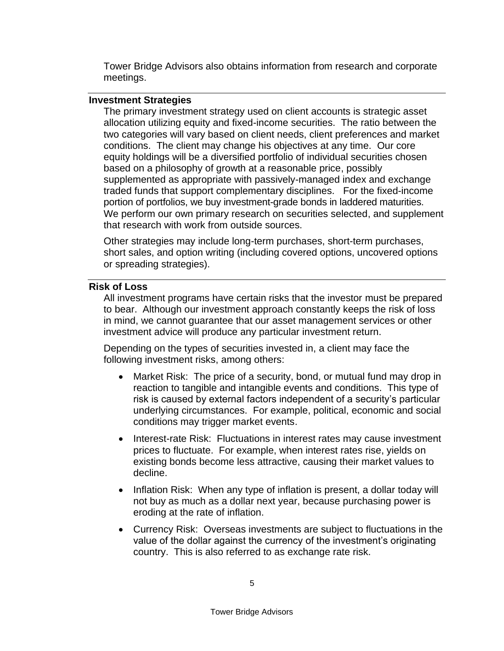Tower Bridge Advisors also obtains information from research and corporate meetings.

### <span id="page-7-0"></span>**Investment Strategies**

The primary investment strategy used on client accounts is strategic asset allocation utilizing equity and fixed-income securities. The ratio between the two categories will vary based on client needs, client preferences and market conditions. The client may change his objectives at any time. Our core equity holdings will be a diversified portfolio of individual securities chosen based on a philosophy of growth at a reasonable price, possibly supplemented as appropriate with passively-managed index and exchange traded funds that support complementary disciplines. For the fixed-income portion of portfolios, we buy investment-grade bonds in laddered maturities. We perform our own primary research on securities selected, and supplement that research with work from outside sources.

Other strategies may include long-term purchases, short-term purchases, short sales, and option writing (including covered options, uncovered options or spreading strategies).

### <span id="page-7-1"></span>**Risk of Loss**

All investment programs have certain risks that the investor must be prepared to bear. Although our investment approach constantly keeps the risk of loss in mind, we cannot guarantee that our asset management services or other investment advice will produce any particular investment return.

Depending on the types of securities invested in, a client may face the following investment risks, among others:

- Market Risk: The price of a security, bond, or mutual fund may drop in reaction to tangible and intangible events and conditions. This type of risk is caused by external factors independent of a security's particular underlying circumstances. For example, political, economic and social conditions may trigger market events.
- Interest-rate Risk: Fluctuations in interest rates may cause investment prices to fluctuate. For example, when interest rates rise, yields on existing bonds become less attractive, causing their market values to decline.
- Inflation Risk: When any type of inflation is present, a dollar today will not buy as much as a dollar next year, because purchasing power is eroding at the rate of inflation.
- Currency Risk: Overseas investments are subject to fluctuations in the value of the dollar against the currency of the investment's originating country. This is also referred to as exchange rate risk.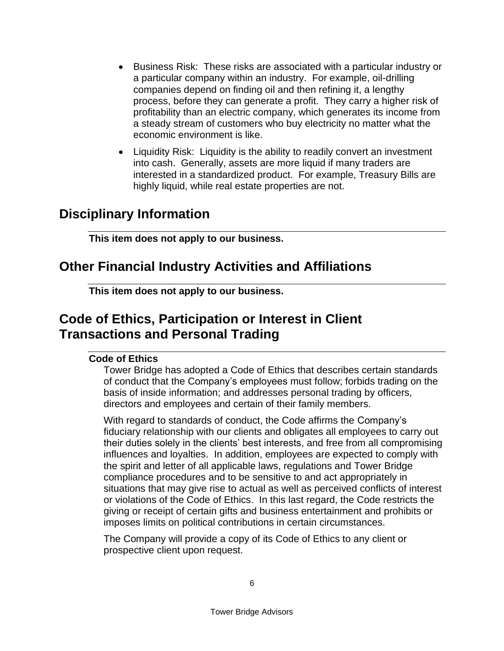- Business Risk: These risks are associated with a particular industry or a particular company within an industry. For example, oil-drilling companies depend on finding oil and then refining it, a lengthy process, before they can generate a profit. They carry a higher risk of profitability than an electric company, which generates its income from a steady stream of customers who buy electricity no matter what the economic environment is like.
- Liquidity Risk: Liquidity is the ability to readily convert an investment into cash. Generally, assets are more liquid if many traders are interested in a standardized product. For example, Treasury Bills are highly liquid, while real estate properties are not.

# <span id="page-8-0"></span>**Disciplinary Information**

**This item does not apply to our business.**

# <span id="page-8-1"></span>**Other Financial Industry Activities and Affiliations**

**This item does not apply to our business.**

# <span id="page-8-3"></span><span id="page-8-2"></span>**Code of Ethics, Participation or Interest in Client Transactions and Personal Trading**

### **Code of Ethics**

Tower Bridge has adopted a Code of Ethics that describes certain standards of conduct that the Company's employees must follow; forbids trading on the basis of inside information; and addresses personal trading by officers, directors and employees and certain of their family members.

With regard to standards of conduct, the Code affirms the Company's fiduciary relationship with our clients and obligates all employees to carry out their duties solely in the clients' best interests, and free from all compromising influences and loyalties. In addition, employees are expected to comply with the spirit and letter of all applicable laws, regulations and Tower Bridge compliance procedures and to be sensitive to and act appropriately in situations that may give rise to actual as well as perceived conflicts of interest or violations of the Code of Ethics. In this last regard, the Code restricts the giving or receipt of certain gifts and business entertainment and prohibits or imposes limits on political contributions in certain circumstances.

The Company will provide a copy of its Code of Ethics to any client or prospective client upon request.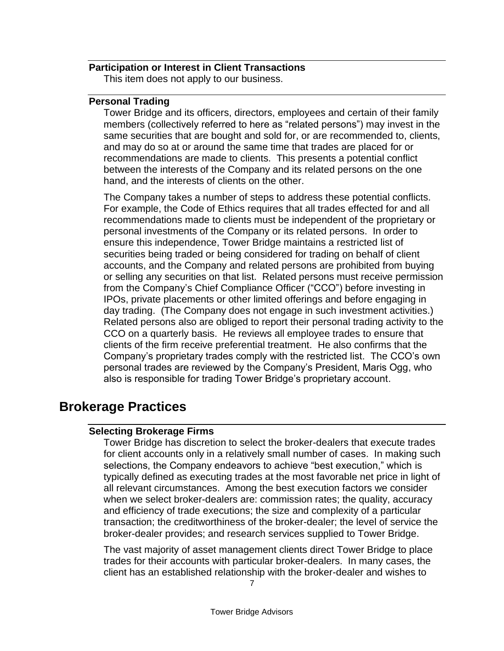### <span id="page-9-0"></span>**Participation or Interest in Client Transactions**

This item does not apply to our business.

#### <span id="page-9-1"></span>**Personal Trading**

Tower Bridge and its officers, directors, employees and certain of their family members (collectively referred to here as "related persons") may invest in the same securities that are bought and sold for, or are recommended to, clients, and may do so at or around the same time that trades are placed for or recommendations are made to clients. This presents a potential conflict between the interests of the Company and its related persons on the one hand, and the interests of clients on the other.

The Company takes a number of steps to address these potential conflicts. For example, the Code of Ethics requires that all trades effected for and all recommendations made to clients must be independent of the proprietary or personal investments of the Company or its related persons. In order to ensure this independence, Tower Bridge maintains a restricted list of securities being traded or being considered for trading on behalf of client accounts, and the Company and related persons are prohibited from buying or selling any securities on that list. Related persons must receive permission from the Company's Chief Compliance Officer ("CCO") before investing in IPOs, private placements or other limited offerings and before engaging in day trading. (The Company does not engage in such investment activities.) Related persons also are obliged to report their personal trading activity to the CCO on a quarterly basis. He reviews all employee trades to ensure that clients of the firm receive preferential treatment. He also confirms that the Company's proprietary trades comply with the restricted list. The CCO's own personal trades are reviewed by the Company's President, Maris Ogg, who also is responsible for trading Tower Bridge's proprietary account.

### <span id="page-9-3"></span><span id="page-9-2"></span>**Brokerage Practices**

### **Selecting Brokerage Firms**

Tower Bridge has discretion to select the broker-dealers that execute trades for client accounts only in a relatively small number of cases. In making such selections, the Company endeavors to achieve "best execution," which is typically defined as executing trades at the most favorable net price in light of all relevant circumstances. Among the best execution factors we consider when we select broker-dealers are: commission rates; the quality, accuracy and efficiency of trade executions; the size and complexity of a particular transaction; the creditworthiness of the broker-dealer; the level of service the broker-dealer provides; and research services supplied to Tower Bridge.

The vast majority of asset management clients direct Tower Bridge to place trades for their accounts with particular broker-dealers. In many cases, the client has an established relationship with the broker-dealer and wishes to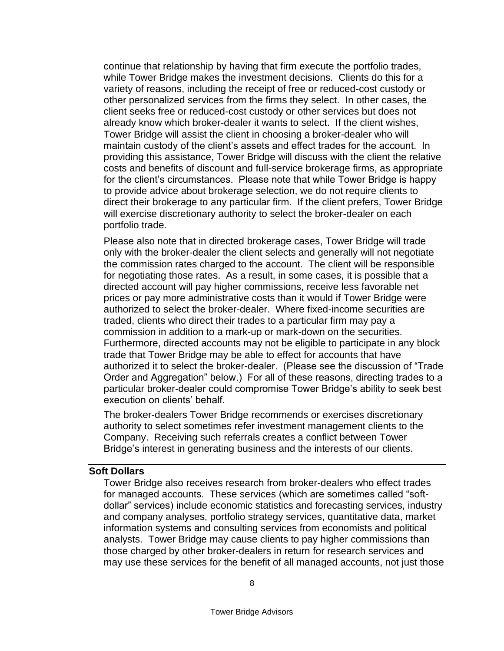continue that relationship by having that firm execute the portfolio trades, while Tower Bridge makes the investment decisions. Clients do this for a variety of reasons, including the receipt of free or reduced-cost custody or other personalized services from the firms they select. In other cases, the client seeks free or reduced-cost custody or other services but does not already know which broker-dealer it wants to select. If the client wishes, Tower Bridge will assist the client in choosing a broker-dealer who will maintain custody of the client's assets and effect trades for the account. In providing this assistance, Tower Bridge will discuss with the client the relative costs and benefits of discount and full-service brokerage firms, as appropriate for the client's circumstances. Please note that while Tower Bridge is happy to provide advice about brokerage selection, we do not require clients to direct their brokerage to any particular firm. If the client prefers, Tower Bridge will exercise discretionary authority to select the broker-dealer on each portfolio trade.

Please also note that in directed brokerage cases, Tower Bridge will trade only with the broker-dealer the client selects and generally will not negotiate the commission rates charged to the account. The client will be responsible for negotiating those rates. As a result, in some cases, it is possible that a directed account will pay higher commissions, receive less favorable net prices or pay more administrative costs than it would if Tower Bridge were authorized to select the broker-dealer. Where fixed-income securities are traded, clients who direct their trades to a particular firm may pay a commission in addition to a mark-up or mark-down on the securities. Furthermore, directed accounts may not be eligible to participate in any block trade that Tower Bridge may be able to effect for accounts that have authorized it to select the broker-dealer. (Please see the discussion of "Trade Order and Aggregation" below.) For all of these reasons, directing trades to a particular broker-dealer could compromise Tower Bridge's ability to seek best execution on clients' behalf.

The broker-dealers Tower Bridge recommends or exercises discretionary authority to select sometimes refer investment management clients to the Company. Receiving such referrals creates a conflict between Tower Bridge's interest in generating business and the interests of our clients.

#### <span id="page-10-0"></span>**Soft Dollars**

Tower Bridge also receives research from broker-dealers who effect trades for managed accounts. These services (which are sometimes called "softdollar" services) include economic statistics and forecasting services, industry and company analyses, portfolio strategy services, quantitative data, market information systems and consulting services from economists and political analysts. Tower Bridge may cause clients to pay higher commissions than those charged by other broker-dealers in return for research services and may use these services for the benefit of all managed accounts, not just those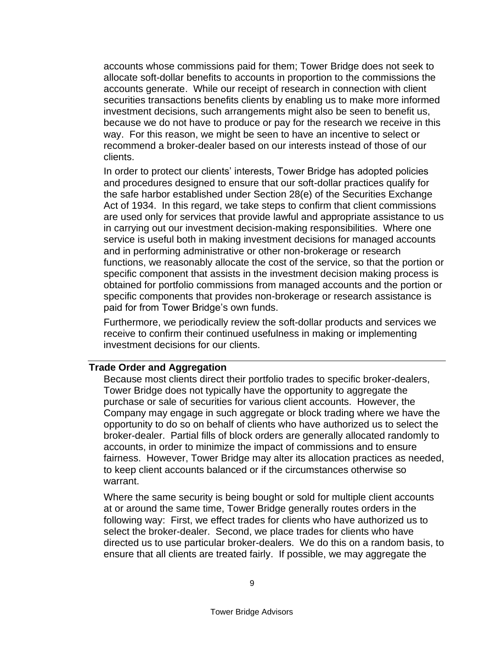accounts whose commissions paid for them; Tower Bridge does not seek to allocate soft-dollar benefits to accounts in proportion to the commissions the accounts generate. While our receipt of research in connection with client securities transactions benefits clients by enabling us to make more informed investment decisions, such arrangements might also be seen to benefit us, because we do not have to produce or pay for the research we receive in this way. For this reason, we might be seen to have an incentive to select or recommend a broker-dealer based on our interests instead of those of our clients.

In order to protect our clients' interests, Tower Bridge has adopted policies and procedures designed to ensure that our soft-dollar practices qualify for the safe harbor established under Section 28(e) of the Securities Exchange Act of 1934. In this regard, we take steps to confirm that client commissions are used only for services that provide lawful and appropriate assistance to us in carrying out our investment decision-making responsibilities. Where one service is useful both in making investment decisions for managed accounts and in performing administrative or other non-brokerage or research functions, we reasonably allocate the cost of the service, so that the portion or specific component that assists in the investment decision making process is obtained for portfolio commissions from managed accounts and the portion or specific components that provides non-brokerage or research assistance is paid for from Tower Bridge's own funds.

Furthermore, we periodically review the soft-dollar products and services we receive to confirm their continued usefulness in making or implementing investment decisions for our clients.

### <span id="page-11-0"></span>**Trade Order and Aggregation**

Because most clients direct their portfolio trades to specific broker-dealers, Tower Bridge does not typically have the opportunity to aggregate the purchase or sale of securities for various client accounts. However, the Company may engage in such aggregate or block trading where we have the opportunity to do so on behalf of clients who have authorized us to select the broker-dealer. Partial fills of block orders are generally allocated randomly to accounts, in order to minimize the impact of commissions and to ensure fairness. However, Tower Bridge may alter its allocation practices as needed, to keep client accounts balanced or if the circumstances otherwise so warrant.

Where the same security is being bought or sold for multiple client accounts at or around the same time, Tower Bridge generally routes orders in the following way: First, we effect trades for clients who have authorized us to select the broker-dealer. Second, we place trades for clients who have directed us to use particular broker-dealers. We do this on a random basis, to ensure that all clients are treated fairly. If possible, we may aggregate the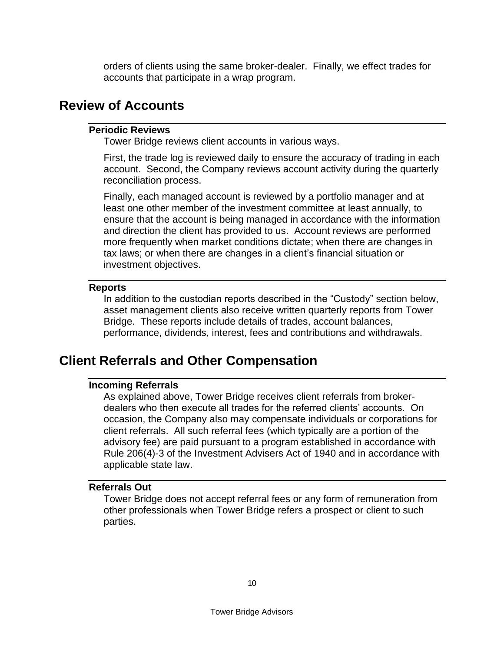orders of clients using the same broker-dealer. Finally, we effect trades for accounts that participate in a wrap program.

### <span id="page-12-1"></span><span id="page-12-0"></span>**Review of Accounts**

### **Periodic Reviews**

Tower Bridge reviews client accounts in various ways.

First, the trade log is reviewed daily to ensure the accuracy of trading in each account. Second, the Company reviews account activity during the quarterly reconciliation process.

Finally, each managed account is reviewed by a portfolio manager and at least one other member of the investment committee at least annually, to ensure that the account is being managed in accordance with the information and direction the client has provided to us. Account reviews are performed more frequently when market conditions dictate; when there are changes in tax laws; or when there are changes in a client's financial situation or investment objectives.

#### <span id="page-12-2"></span>**Reports**

In addition to the custodian reports described in the "Custody" section below, asset management clients also receive written quarterly reports from Tower Bridge. These reports include details of trades, account balances, performance, dividends, interest, fees and contributions and withdrawals.

# <span id="page-12-4"></span><span id="page-12-3"></span>**Client Referrals and Other Compensation**

### **Incoming Referrals**

As explained above, Tower Bridge receives client referrals from brokerdealers who then execute all trades for the referred clients' accounts. On occasion, the Company also may compensate individuals or corporations for client referrals. All such referral fees (which typically are a portion of the advisory fee) are paid pursuant to a program established in accordance with Rule 206(4)-3 of the Investment Advisers Act of 1940 and in accordance with applicable state law.

### <span id="page-12-5"></span>**Referrals Out**

Tower Bridge does not accept referral fees or any form of remuneration from other professionals when Tower Bridge refers a prospect or client to such parties.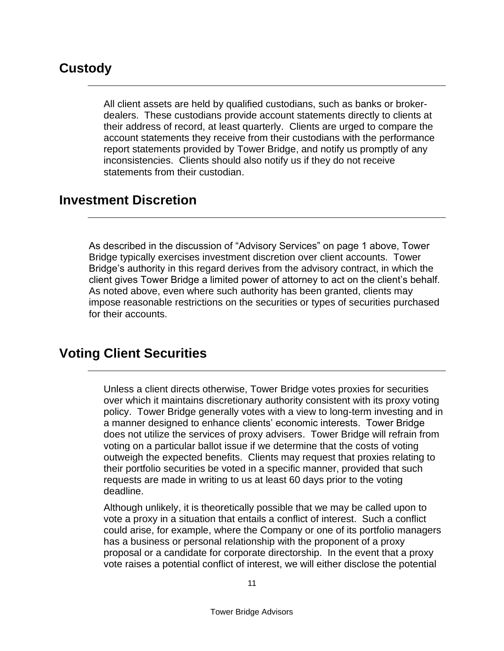# <span id="page-13-0"></span>**Custody**

All client assets are held by qualified custodians, such as banks or brokerdealers. These custodians provide account statements directly to clients at their address of record, at least quarterly. Clients are urged to compare the account statements they receive from their custodians with the performance report statements provided by Tower Bridge, and notify us promptly of any inconsistencies. Clients should also notify us if they do not receive statements from their custodian.

# **Investment Discretion**

As described in the discussion of "Advisory Services" on page 1 above, Tower Bridge typically exercises investment discretion over client accounts. Tower Bridge's authority in this regard derives from the advisory contract, in which the client gives Tower Bridge a limited power of attorney to act on the client's behalf. As noted above, even where such authority has been granted, clients may impose reasonable restrictions on the securities or types of securities purchased for their accounts.

# <span id="page-13-1"></span>**Voting Client Securities**

Unless a client directs otherwise, Tower Bridge votes proxies for securities over which it maintains discretionary authority consistent with its proxy voting policy. Tower Bridge generally votes with a view to long-term investing and in a manner designed to enhance clients' economic interests. Tower Bridge does not utilize the services of proxy advisers. Tower Bridge will refrain from voting on a particular ballot issue if we determine that the costs of voting outweigh the expected benefits. Clients may request that proxies relating to their portfolio securities be voted in a specific manner, provided that such requests are made in writing to us at least 60 days prior to the voting deadline.

Although unlikely, it is theoretically possible that we may be called upon to vote a proxy in a situation that entails a conflict of interest. Such a conflict could arise, for example, where the Company or one of its portfolio managers has a business or personal relationship with the proponent of a proxy proposal or a candidate for corporate directorship. In the event that a proxy vote raises a potential conflict of interest, we will either disclose the potential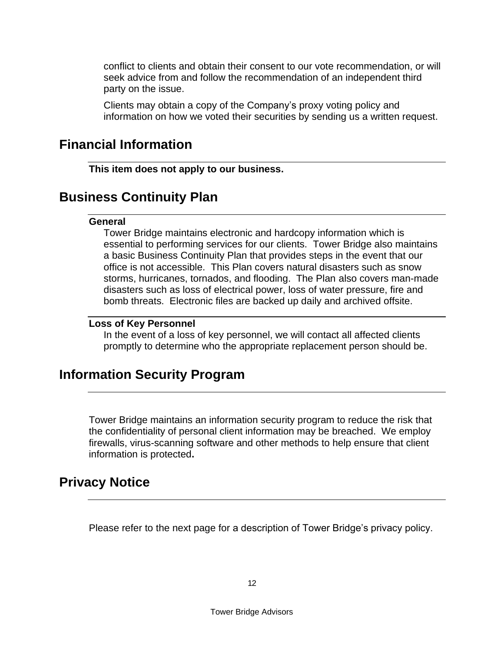conflict to clients and obtain their consent to our vote recommendation, or will seek advice from and follow the recommendation of an independent third party on the issue.

Clients may obtain a copy of the Company's proxy voting policy and information on how we voted their securities by sending us a written request.

### <span id="page-14-0"></span>**Financial Information**

**This item does not apply to our business.**

# <span id="page-14-2"></span><span id="page-14-1"></span>**Business Continuity Plan**

### **General**

Tower Bridge maintains electronic and hardcopy information which is essential to performing services for our clients. Tower Bridge also maintains a basic Business Continuity Plan that provides steps in the event that our office is not accessible. This Plan covers natural disasters such as snow storms, hurricanes, tornados, and flooding. The Plan also covers man-made disasters such as loss of electrical power, loss of water pressure, fire and bomb threats. Electronic files are backed up daily and archived offsite.

### <span id="page-14-3"></span>**Loss of Key Personnel**

In the event of a loss of key personnel, we will contact all affected clients promptly to determine who the appropriate replacement person should be.

### <span id="page-14-4"></span>**Information Security Program**

Tower Bridge maintains an information security program to reduce the risk that the confidentiality of personal client information may be breached. We employ firewalls, virus-scanning software and other methods to help ensure that client information is protected**.** 

### **Privacy Notice**

Please refer to the next page for a description of Tower Bridge's privacy policy.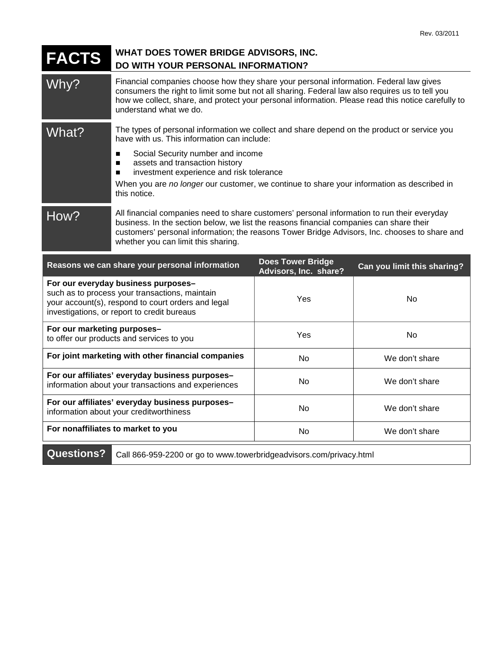| <b>FACTS</b> | WHAT DOES TOWER BRIDGE ADVISORS, INC.<br>DO WITH YOUR PERSONAL INFORMATION?                                                                                                                                                                                                                                                    |
|--------------|--------------------------------------------------------------------------------------------------------------------------------------------------------------------------------------------------------------------------------------------------------------------------------------------------------------------------------|
| Why?         | Financial companies choose how they share your personal information. Federal law gives<br>consumers the right to limit some but not all sharing. Federal law also requires us to tell you<br>how we collect, share, and protect your personal information. Please read this notice carefully to<br>understand what we do.      |
| What?        | The types of personal information we collect and share depend on the product or service you<br>have with us. This information can include:                                                                                                                                                                                     |
|              | Social Security number and income<br>assets and transaction history<br>■<br>investment experience and risk tolerance<br>■                                                                                                                                                                                                      |
|              | When you are no longer our customer, we continue to share your information as described in<br>this notice.                                                                                                                                                                                                                     |
| How?         | All financial companies need to share customers' personal information to run their everyday<br>business. In the section below, we list the reasons financial companies can share their<br>customers' personal information; the reasons Tower Bridge Advisors, Inc. chooses to share and<br>whether you can limit this sharing. |
|              | <b>Does Tower Bridge</b><br>Reasons we can share your personal information<br>Can you limit this sharing?                                                                                                                                                                                                                      |

| Reasons we can share your personal information                                                                                                                                             | <b>DUES TUWEL DITUYE</b><br>Advisors, Inc. share? | Can you limit this sharing? |  |  |
|--------------------------------------------------------------------------------------------------------------------------------------------------------------------------------------------|---------------------------------------------------|-----------------------------|--|--|
| For our everyday business purposes-<br>such as to process your transactions, maintain<br>your account(s), respond to court orders and legal<br>investigations, or report to credit bureaus | Yes                                               | No.                         |  |  |
| For our marketing purposes-<br>to offer our products and services to you                                                                                                                   | Yes                                               | No.                         |  |  |
| For joint marketing with other financial companies                                                                                                                                         | No.                                               | We don't share              |  |  |
| For our affiliates' everyday business purposes-<br>information about your transactions and experiences                                                                                     | No                                                | We don't share              |  |  |
| For our affiliates' everyday business purposes-<br>information about your creditworthiness                                                                                                 | No.                                               | We don't share              |  |  |
| For nonaffiliates to market to you                                                                                                                                                         | No                                                | We don't share              |  |  |
| <b>Ougetione?</b><br>Call REG 050, 2200 or go to ususu toworbridgeodyjecto com/privoov.html                                                                                                |                                                   |                             |  |  |

**Questions?** Call 866-959-2200 or go to www.towerbridgeadvisors.com/privacy.html